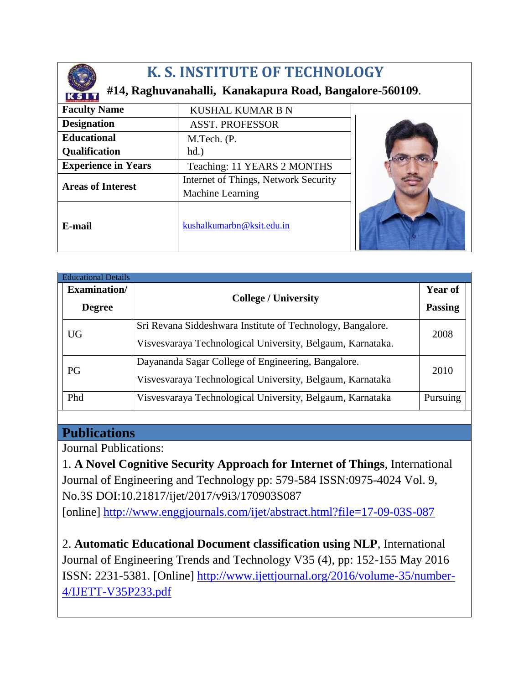

## **K. S. INSTITUTE OF TECHNOLOGY**

## **#14, Raghuvanahalli, Kanakapura Road, Bangalore-560109**.

| <b>K I INTETUTE OF TECHNELOGY</b><br><b>Faculty Name</b> | <b>KUSHAL KUMAR B N</b>              |  |
|----------------------------------------------------------|--------------------------------------|--|
| <b>Designation</b>                                       | <b>ASST. PROFESSOR</b>               |  |
| <b>Educational</b>                                       | M.Tech. (P.                          |  |
| <b>Qualification</b>                                     | $hd.$ )                              |  |
| <b>Experience in Years</b>                               | Teaching: 11 YEARS 2 MONTHS          |  |
| <b>Areas of Interest</b>                                 | Internet of Things, Network Security |  |
|                                                          | Machine Learning                     |  |
| E-mail                                                   | kushalkumarbn@ksit.edu.in            |  |

| <b>Educational Details</b> |                                                                    |  |
|----------------------------|--------------------------------------------------------------------|--|
| Examination/               | <b>College / University</b>                                        |  |
| <b>Degree</b>              |                                                                    |  |
| <b>UG</b>                  | Sri Revana Siddeshwara Institute of Technology, Bangalore.<br>2008 |  |
|                            | Visvesvaraya Technological University, Belgaum, Karnataka.         |  |
| PG                         | Dayananda Sagar College of Engineering, Bangalore.                 |  |
|                            | 2010<br>Visvesvaraya Technological University, Belgaum, Karnataka  |  |
| Phd                        | Visvesvaraya Technological University, Belgaum, Karnataka          |  |

## **Publications**

Journal Publications:

1. **A Novel Cognitive Security Approach for Internet of Things**, International Journal of Engineering and Technology pp: 579-584 ISSN:0975-4024 Vol. 9, No.3S DOI:10.21817/ijet/2017/v9i3/170903S087

[online]<http://www.enggjournals.com/ijet/abstract.html?file=17-09-03S-087>

2. **Automatic Educational Document classification using NLP**, International Journal of Engineering Trends and Technology V35 (4), pp: 152-155 May 2016 ISSN: 2231-5381. [Online] [http://www.ijettjournal.org/2016/volume-35/number-](http://www.ijettjournal.org/2016/volume-35/number-4/IJETT-V35P233.pdf)[4/IJETT-V35P233.pdf](http://www.ijettjournal.org/2016/volume-35/number-4/IJETT-V35P233.pdf)